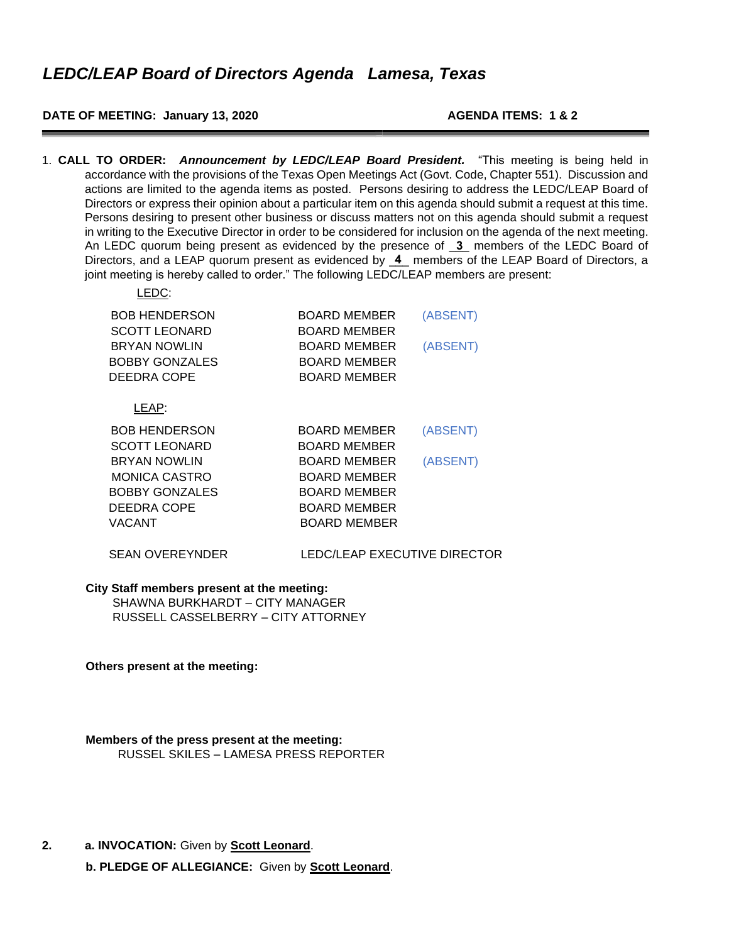#### **DATE OF MEETING: January 13, 2020 AGENDA ITEMS: 1 & 2**

1. **CALL TO ORDER:** *Announcement by LEDC/LEAP Board President.* "This meeting is being held in accordance with the provisions of the Texas Open Meetings Act (Govt. Code, Chapter 551). Discussion and actions are limited to the agenda items as posted. Persons desiring to address the LEDC/LEAP Board of Directors or express their opinion about a particular item on this agenda should submit a request at this time. Persons desiring to present other business or discuss matters not on this agenda should submit a request in writing to the Executive Director in order to be considered for inclusion on the agenda of the next meeting. An LEDC quorum being present as evidenced by the presence of  $\overline{3}$  members of the LEDC Board of Directors, and a LEAP quorum present as evidenced by  $\overline{4}$  members of the LEAP Board of Directors, a joint meeting is hereby called to order." The following LEDC/LEAP members are present:  $L = 2$ 

| ∟⊏D∪∶                                        |                                     |          |
|----------------------------------------------|-------------------------------------|----------|
| <b>BOB HENDERSON</b><br>SCOTT LEONARD        | <b>BOARD MEMBER</b><br>BOARD MEMBER | (ABSENT) |
| <b>BRYAN NOWLIN</b><br><b>BOBBY GONZALES</b> | BOARD MEMBER<br><b>BOARD MEMBER</b> | (ABSENT) |
| DEEDRA COPE                                  | BOARD MEMBER                        |          |
| LEAP:                                        |                                     |          |
| <b>BOB HENDERSON</b>                         | <b>BOARD MEMBER</b>                 | (ABSENT) |
| SCOTT LEONARD                                | BOARD MEMBER                        |          |
| <b>BRYAN NOWLIN</b>                          | BOARD MEMBER                        | (ABSENT) |
| <b>MONICA CASTRO</b>                         | BOARD MEMBER                        |          |
| <b>BOBBY GONZALES</b>                        | <b>BOARD MEMBER</b>                 |          |
| DEEDRA COPE                                  | BOARD MEMBER                        |          |
| VACANT                                       | <b>BOARD MEMBER</b>                 |          |
|                                              |                                     |          |

#### SEAN OVEREYNDER LEDC/LEAP EXECUTIVE DIRECTOR

#### **City Staff members present at the meeting:**

SHAWNA BURKHARDT – CITY MANAGER RUSSELL CASSELBERRY – CITY ATTORNEY

**Others present at the meeting:** 

**Members of the press present at the meeting:**  RUSSEL SKILES – LAMESA PRESS REPORTER

**2. a. INVOCATION:** Given by **Scott Leonard**.

**b. PLEDGE OF ALLEGIANCE:** Given by **Scott Leonard**.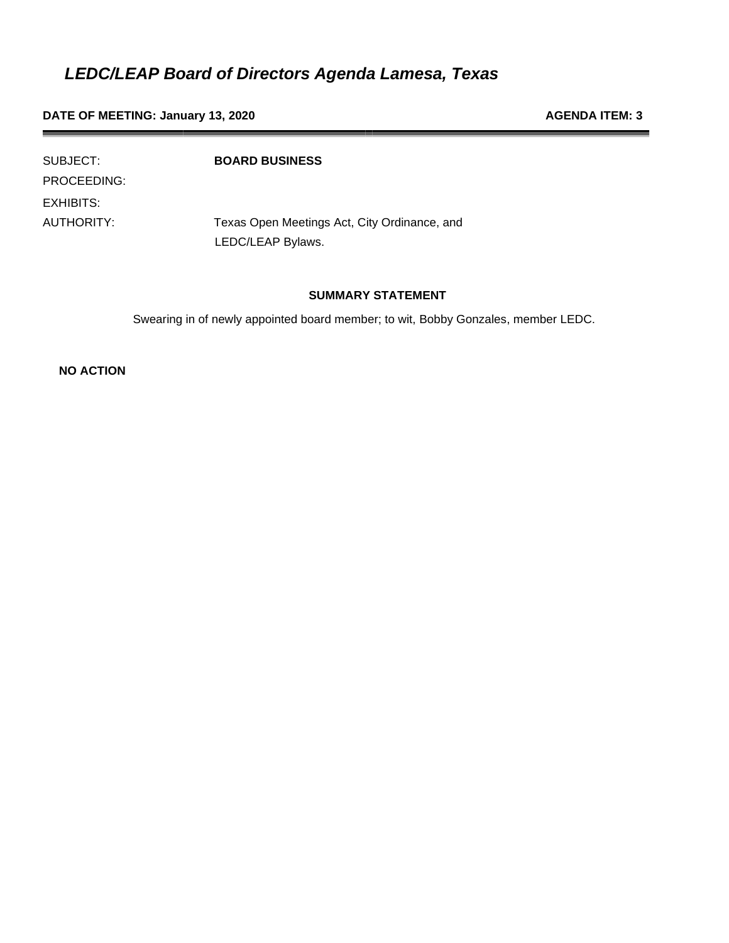**DATE OF MEETING: January 13, 2020 AGENDA ITEM: 3 AGENDA ITEM: 3** 

| SUBJECT:    | <b>BOARD BUSINESS</b>                        |
|-------------|----------------------------------------------|
| PROCEEDING: |                                              |
| EXHIBITS:   |                                              |
| AUTHORITY:  | Texas Open Meetings Act, City Ordinance, and |
|             | LEDC/LEAP Bylaws.                            |

#### **SUMMARY STATEMENT**

Swearing in of newly appointed board member; to wit, Bobby Gonzales, member LEDC.

**NO ACTION**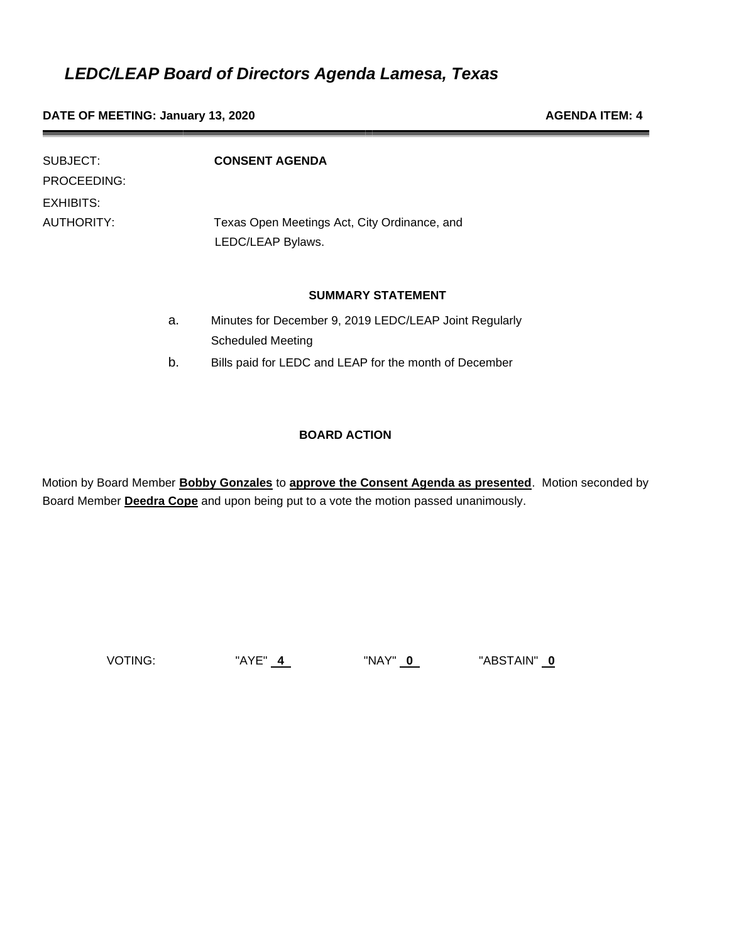**DATE OF MEETING: January 13, 2020 AGENDA ITEM: 4 AGENDA ITEM: 4** 

| SUBJECT:<br>PROCEEDING: |    | <b>CONSENT AGENDA</b>                                                              |
|-------------------------|----|------------------------------------------------------------------------------------|
| EXHIBITS:<br>AUTHORITY: |    | Texas Open Meetings Act, City Ordinance, and<br>LEDC/LEAP Bylaws.                  |
|                         |    | <b>SUMMARY STATEMENT</b>                                                           |
|                         | a. | Minutes for December 9, 2019 LEDC/LEAP Joint Regularly<br><b>Scheduled Meeting</b> |
|                         | b. | Bills paid for LEDC and LEAP for the month of December                             |

#### **BOARD ACTION**

Motion by Board Member **Bobby Gonzales** to **approve the Consent Agenda as presented**. Motion seconded by Board Member **Deedra Cope** and upon being put to a vote the motion passed unanimously.

VOTING: "AYE" **4** "NAY" **0** "ABSTAIN" **0**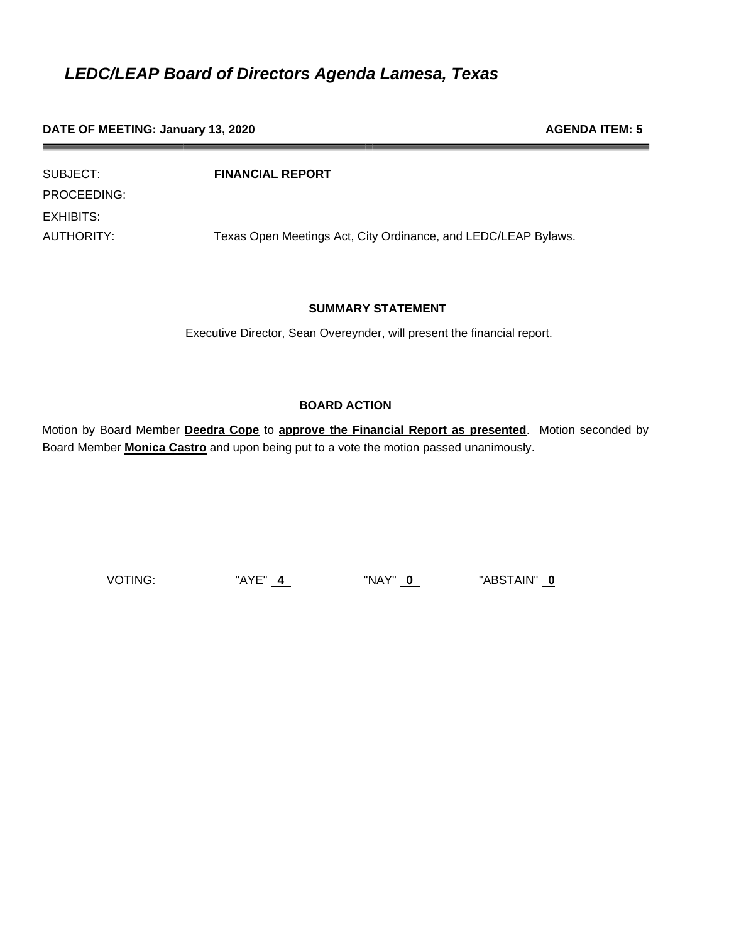#### **DATE OF MEETING: January 13, 2020 AGENDA ITEM: 5 AGENDA ITEM: 5**

| SUBJECT:    | <b>FINANCIAL REPORT</b>                                        |
|-------------|----------------------------------------------------------------|
| PROCEEDING: |                                                                |
| EXHIBITS:   |                                                                |
| AUTHORITY:  | Texas Open Meetings Act, City Ordinance, and LEDC/LEAP Bylaws. |

#### **SUMMARY STATEMENT**

Executive Director, Sean Overeynder, will present the financial report.

#### **BOARD ACTION**

Motion by Board Member **Deedra Cope** to **approve the Financial Report as presented**. Motion seconded by Board Member **Monica Castro** and upon being put to a vote the motion passed unanimously.

VOTING: "AYE" **4** "NAY" **0** "ABSTAIN" **0**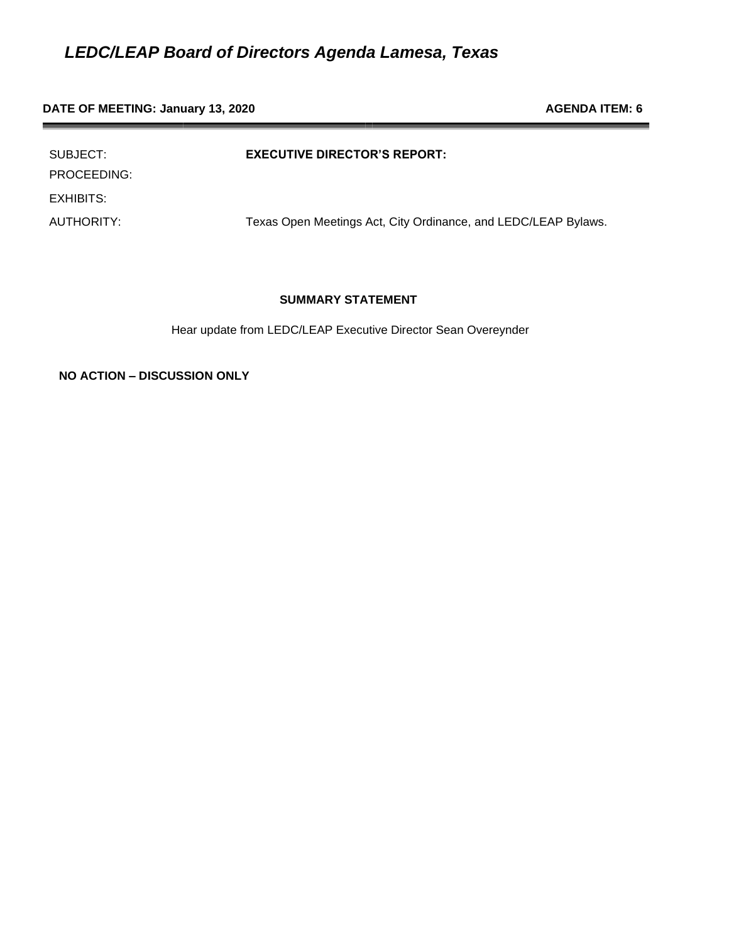### **DATE OF MEETING: January 13, 2020 AGENDA ITEM: 6 AGENDA ITEM: 6**

| SUBJECT:<br>PROCEEDING: | <b>EXECUTIVE DIRECTOR'S REPORT:</b>                            |
|-------------------------|----------------------------------------------------------------|
| EXHIBITS:               |                                                                |
| AUTHORITY:              | Texas Open Meetings Act, City Ordinance, and LEDC/LEAP Bylaws. |

#### **SUMMARY STATEMENT**

Hear update from LEDC/LEAP Executive Director Sean Overeynder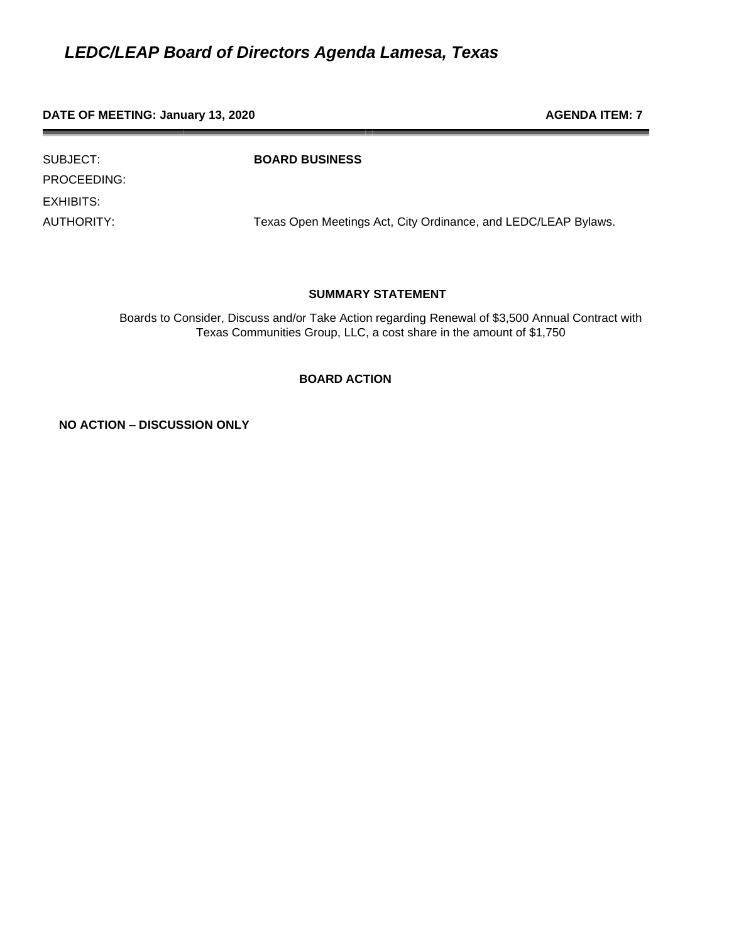#### **DATE OF MEETING: January 13, 2020 AGENDA ITEM: 7 AGENDA ITEM: 7**

PROCEEDING: EXHIBITS:

SUBJECT: **BOARD BUSINESS**

AUTHORITY: Texas Open Meetings Act, City Ordinance, and LEDC/LEAP Bylaws.

#### **SUMMARY STATEMENT**

Boards to Consider, Discuss and/or Take Action regarding Renewal of \$3,500 Annual Contract with Texas Communities Group, LLC, a cost share in the amount of \$1,750

#### **BOARD ACTION**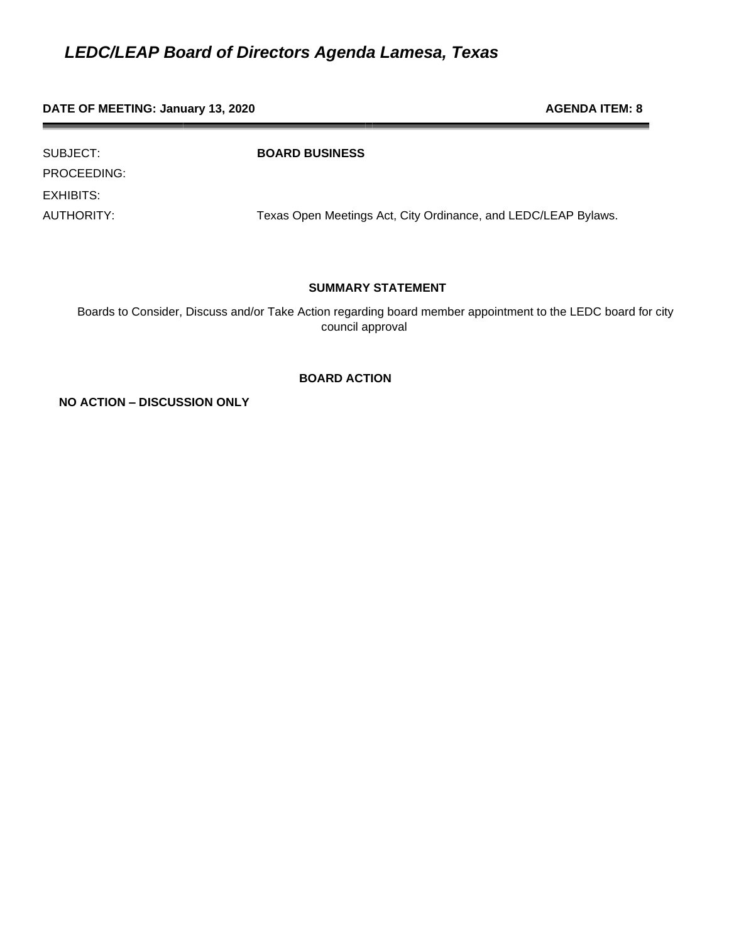#### **DATE OF MEETING: January 13, 2020 AGENDA ITEM: 8 AGENDA ITEM: 8**

PROCEEDING: EXHIBITS:

SUBJECT: **BOARD BUSINESS**

AUTHORITY: Texas Open Meetings Act, City Ordinance, and LEDC/LEAP Bylaws.

#### **SUMMARY STATEMENT**

 Boards to Consider, Discuss and/or Take Action regarding board member appointment to the LEDC board for city council approval

#### **BOARD ACTION**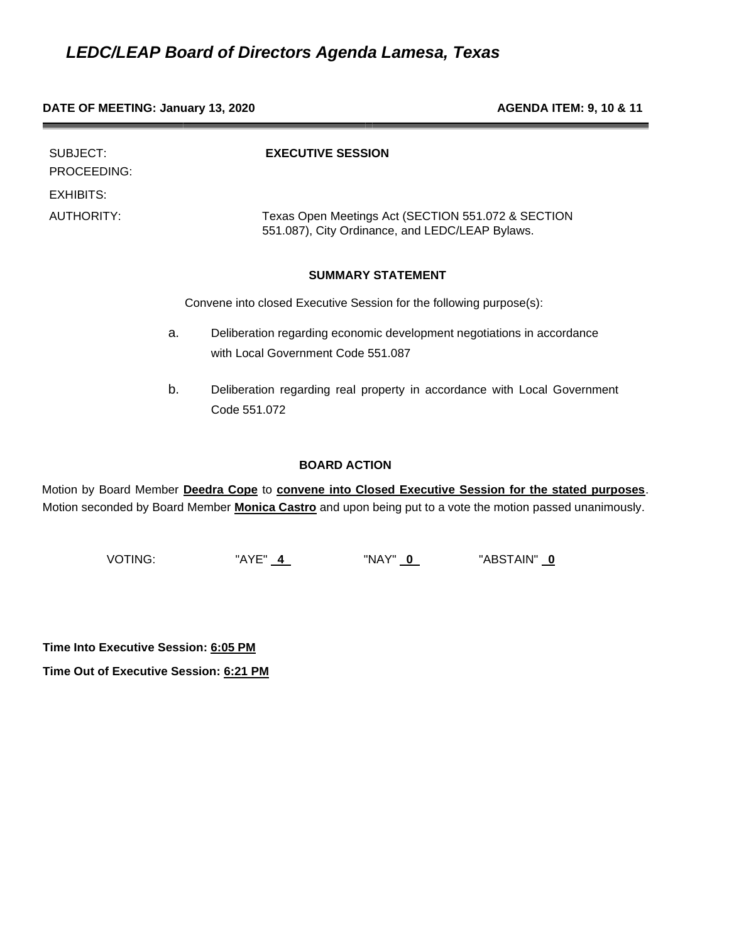#### **DATE OF MEETING: January 13, 2020 AGENDA ITEM: 9, 10 & 11**

| SUBJECT:<br>PROCEEDING: |    | <b>EXECUTIVE SESSION</b>                                                                                     |
|-------------------------|----|--------------------------------------------------------------------------------------------------------------|
| EXHIBITS:               |    |                                                                                                              |
| AUTHORITY:              |    | Texas Open Meetings Act (SECTION 551.072 & SECTION<br>551.087), City Ordinance, and LEDC/LEAP Bylaws.        |
|                         |    | <b>SUMMARY STATEMENT</b>                                                                                     |
|                         |    | Convene into closed Executive Session for the following purpose(s):                                          |
|                         | a. | Deliberation regarding economic development negotiations in accordance<br>with Local Government Code 551.087 |
|                         | b. | Deliberation regarding real property in accordance with Local Government<br>Code 551.072                     |

#### **BOARD ACTION**

Motion by Board Member **Deedra Cope** to **convene into Closed Executive Session for the stated purposes**. Motion seconded by Board Member **Monica Castro** and upon being put to a vote the motion passed unanimously.

VOTING: "AYE" **4** "NAY" **0** "ABSTAIN" **0** 

**Time Into Executive Session: 6:05 PM**

**Time Out of Executive Session: 6:21 PM**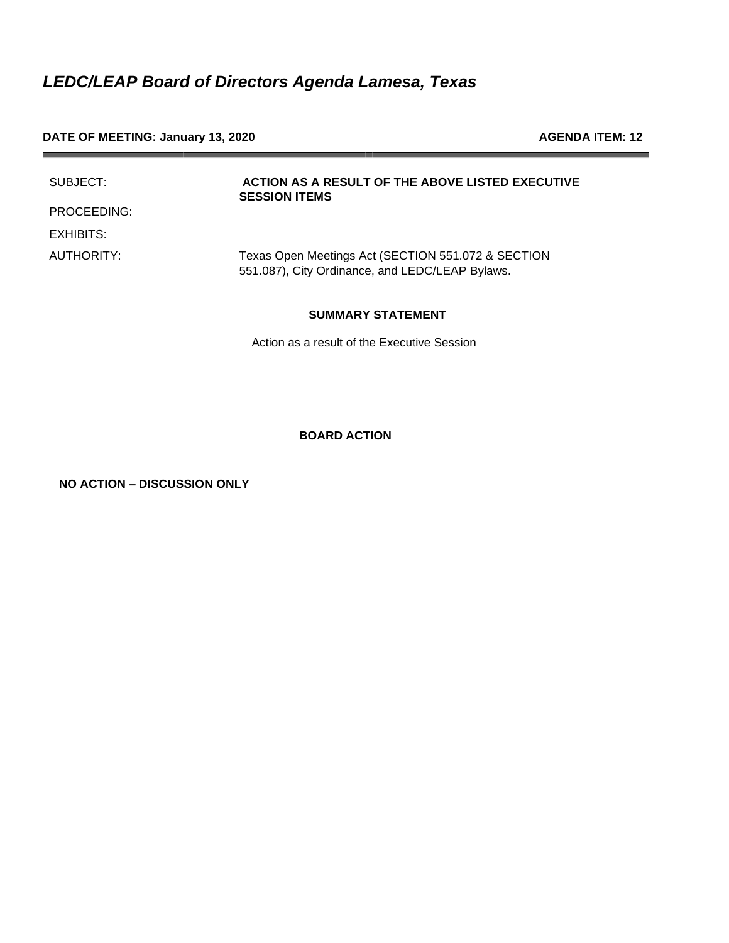#### DATE OF MEETING: January 13, 2020 **AGENDA ITEM: 12** AGENDA ITEM: 12

| SUBJECT:    | ACTION AS A RESULT OF THE ABOVE LISTED EXECUTIVE<br><b>SESSION ITEMS</b>                              |
|-------------|-------------------------------------------------------------------------------------------------------|
| PROCEEDING: |                                                                                                       |
| EXHIBITS:   |                                                                                                       |
| AUTHORITY:  | Texas Open Meetings Act (SECTION 551.072 & SECTION<br>551.087), City Ordinance, and LEDC/LEAP Bylaws. |

#### **SUMMARY STATEMENT**

Action as a result of the Executive Session

#### **BOARD ACTION**